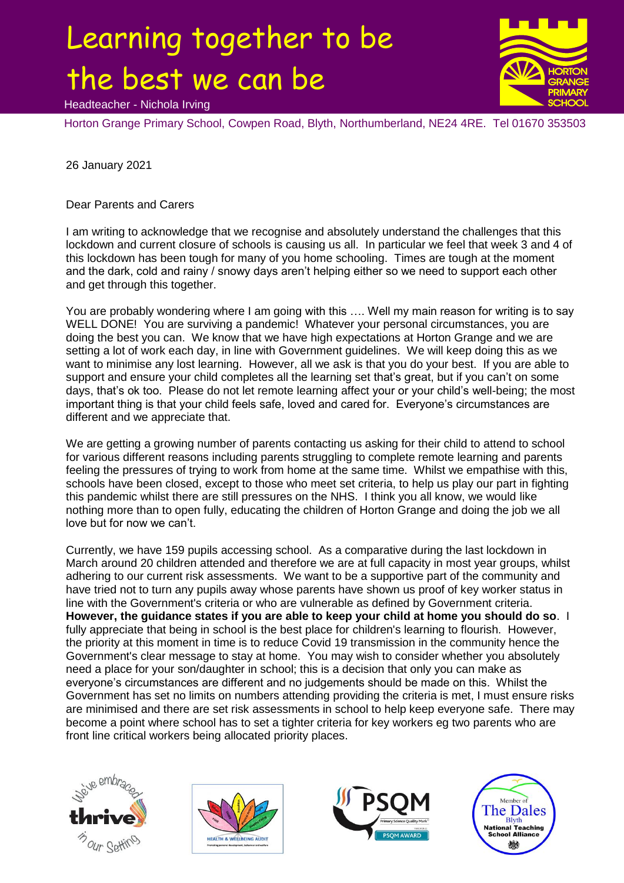## Learning together to be the best we can be



Headteacher - Nichola Irving

Horton Grange Primary School, Cowpen Road, Blyth, Northumberland, NE24 4RE. Tel 01670 353503

26 January 2021

Dear Parents and Carers

I am writing to acknowledge that we recognise and absolutely understand the challenges that this lockdown and current closure of schools is causing us all. In particular we feel that week 3 and 4 of this lockdown has been tough for many of you home schooling. Times are tough at the moment and the dark, cold and rainy / snowy days aren't helping either so we need to support each other and get through this together.

You are probably wondering where I am going with this …. Well my main reason for writing is to say WELL DONE! You are surviving a pandemic! Whatever your personal circumstances, you are doing the best you can. We know that we have high expectations at Horton Grange and we are setting a lot of work each day, in line with Government guidelines. We will keep doing this as we want to minimise any lost learning. However, all we ask is that you do your best. If you are able to support and ensure your child completes all the learning set that's great, but if you can't on some days, that's ok too. Please do not let remote learning affect your or your child's well-being; the most important thing is that your child feels safe, loved and cared for. Everyone's circumstances are different and we appreciate that.

We are getting a growing number of parents contacting us asking for their child to attend to school for various different reasons including parents struggling to complete remote learning and parents feeling the pressures of trying to work from home at the same time. Whilst we empathise with this, schools have been closed, except to those who meet set criteria, to help us play our part in fighting this pandemic whilst there are still pressures on the NHS. I think you all know, we would like nothing more than to open fully, educating the children of Horton Grange and doing the job we all love but for now we can't.

Currently, we have 159 pupils accessing school. As a comparative during the last lockdown in March around 20 children attended and therefore we are at full capacity in most year groups, whilst adhering to our current risk assessments. We want to be a supportive part of the community and have tried not to turn any pupils away whose parents have shown us proof of key worker status in line with the Government's criteria or who are vulnerable as defined by Government criteria. **However, the guidance states if you are able to keep your child at home you should do so**. I fully appreciate that being in school is the best place for children's learning to flourish. However, the priority at this moment in time is to reduce Covid 19 transmission in the community hence the Government's clear message to stay at home. You may wish to consider whether you absolutely need a place for your son/daughter in school; this is a decision that only you can make as everyone's circumstances are different and no judgements should be made on this. Whilst the Government has set no limits on numbers attending providing the criteria is met, I must ensure risks are minimised and there are set risk assessments in school to help keep everyone safe. There may become a point where school has to set a tighter criteria for key workers eg two parents who are front line critical workers being allocated priority places.